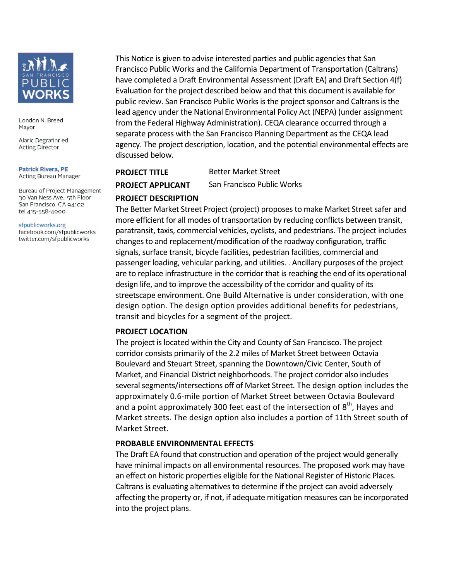

London N. Breed Mayor

Alaric Degrafinried **Acting Director** 

#### **Patrick Rivera, PE Acting Bureau Manager**

Bureau of Project Management 30 Van Ness Ave., 5th Floor San Francisco, CA 94102 tel 415-558-4000

#### sfpublicworks.org

facebook.com/sfpublicworks twitter.com/sfpublicworks

This Notice is given to advise interested parties and public agencies that San Francisco Public Works and the California Department of Transportation (Caltrans) have completed a Draft Environmental Assessment (Draft EA) and Draft Section 4(f) Evaluation for the project described below and that this document is available for public review. San Francisco Public Works is the project sponsor and Caltrans is the lead agency under the National Environmental Policy Act (NEPA) (under assignment from the Federal Highway Administration). CEQA clearance occurred through a separate process with the San Francisco Planning Department as the CEQA lead agency. The project description, location, and the potential environmental effects are discussed below. 

# **PROJECT TITLE** Better Market Street **PROJECT APPLICANT** San Francisco Public Works

# **PROJECT DESCRIPTION**

The Better Market Street Project (project) proposes to make Market Street safer and more efficient for all modes of transportation by reducing conflicts between transit, paratransit, taxis, commercial vehicles, cyclists, and pedestrians. The project includes changes to and replacement/modification of the roadway configuration, traffic signals, surface transit, bicycle facilities, pedestrian facilities, commercial and passenger loading, vehicular parking, and utilities. . Ancillary purposes of the project are to replace infrastructure in the corridor that is reaching the end of its operational design life, and to improve the accessibility of the corridor and quality of its streetscape environment. One Build Alternative is under consideration, with one design option. The design option provides additional benefits for pedestrians, transit and bicycles for a segment of the project.

## **PROJECT LOCATION**

The project is located within the City and County of San Francisco. The project corridor consists primarily of the 2.2 miles of Market Street between Octavia Boulevard and Steuart Street, spanning the Downtown/Civic Center, South of Market, and Financial District neighborhoods. The project corridor also includes several segments/intersections off of Market Street. The design option includes the approximately 0.6-mile portion of Market Street between Octavia Boulevard and a point approximately 300 feet east of the intersection of  $8<sup>th</sup>$ , Hayes and Market streets. The design option also includes a portion of 11th Street south of Market Street.

## **PROBABLE ENVIRONMENTAL EFFECTS**

The Draft EA found that construction and operation of the project would generally have minimal impacts on all environmental resources. The proposed work may have an effect on historic properties eligible for the National Register of Historic Places. Caltrans is evaluating alternatives to determine if the project can avoid adversely affecting the property or, if not, if adequate mitigation measures can be incorporated into the project plans.